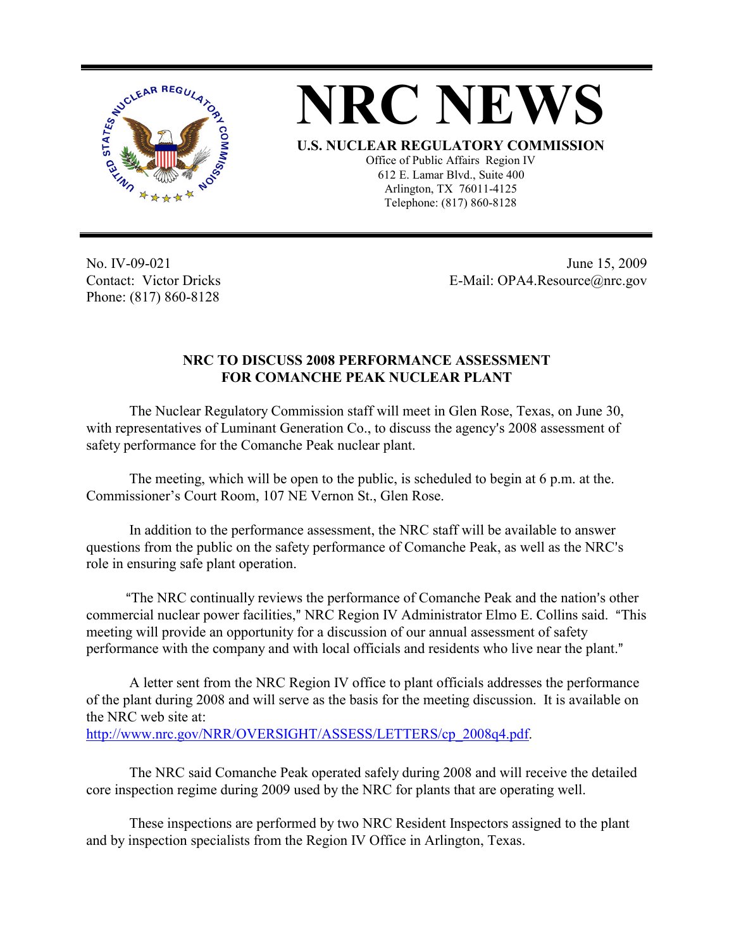

**NRC NEWS U.S. NUCLEAR REGULATORY COMMISSION** Office of Public Affairs Region IV 612 E. Lamar Blvd., Suite 400 Arlington, TX 76011-4125 Telephone: (817) 860-8128

No. IV-09-021 Contact: Victor Dricks Phone: (817) 860-8128

 June 15, 2009 E-Mail: OPA4.Resource@nrc.gov

## **NRC TO DISCUSS 2008 PERFORMANCE ASSESSMENT FOR COMANCHE PEAK NUCLEAR PLANT**

The Nuclear Regulatory Commission staff will meet in Glen Rose, Texas, on June 30, with representatives of Luminant Generation Co., to discuss the agency's 2008 assessment of safety performance for the Comanche Peak nuclear plant.

The meeting, which will be open to the public, is scheduled to begin at 6 p.m. at the. Commissioner's Court Room, 107 NE Vernon St., Glen Rose.

In addition to the performance assessment, the NRC staff will be available to answer questions from the public on the safety performance of Comanche Peak, as well as the NRC's role in ensuring safe plant operation.

<sup>"</sup>The NRC continually reviews the performance of Comanche Peak and the nation's other commercial nuclear power facilities," NRC Region IV Administrator Elmo E. Collins said. "This meeting will provide an opportunity for a discussion of our annual assessment of safety performance with the company and with local officials and residents who live near the plant."

A letter sent from the NRC Region IV office to plant officials addresses the performance of the plant during 2008 and will serve as the basis for the meeting discussion. It is available on the NRC web site at:

http://www.nrc.gov/NRR/OVERSIGHT/ASSESS/LETTERS/cp\_2008q4.pdf.

The NRC said Comanche Peak operated safely during 2008 and will receive the detailed core inspection regime during 2009 used by the NRC for plants that are operating well.

These inspections are performed by two NRC Resident Inspectors assigned to the plant and by inspection specialists from the Region IV Office in Arlington, Texas.